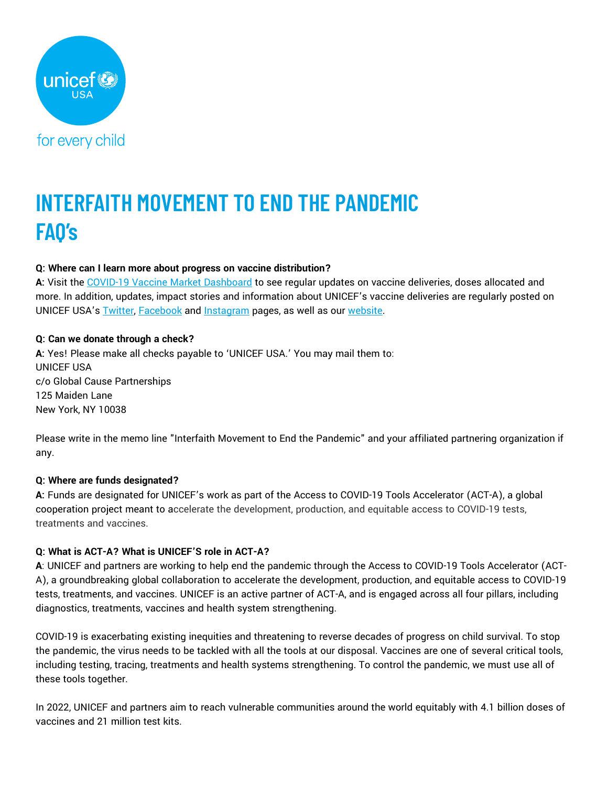

# **INTERFAITH MOVEMENT TO END THE PANDEMIC FAQ's**

# **Q: Where can I learn more about progress on vaccine distribution?**

**A:** Visit the [COVID-19 Vaccine Market Dashboard](https://www.unicef.org/supply/covid-19-vaccine-market-dashboard) to see regular updates on vaccine deliveries, doses allocated and more. In addition, updates, impact stories and information about UNICEF's vaccine deliveries are regularly posted on UNICEF USA's **[Twitter,](https://twitter.com/UNICEFUSA) [Facebook](https://www.facebook.com/UNICEF-USA/) and [Instagram](https://www.instagram.com/unicefusa/?hl=en)** pages, as well as our [website.](https://www.unicefusa.org/)

# **Q: Can we donate through a check?**

**A:** Yes! Please make all checks payable to 'UNICEF USA.' You may mail them to: UNICEF USA c/o Global Cause Partnerships 125 Maiden Lane New York, NY 10038

Please write in the memo line "Interfaith Movement to End the Pandemic" and your affiliated partnering organization if any.

# **Q: Where are funds designated?**

**A:** Funds are designated for UNICEF's work as part of the Access to COVID-19 Tools Accelerator (ACT-A), a global cooperation project meant to accelerate the development, production, and equitable access to COVID-19 tests, treatments and vaccines.

# **Q: What is ACT-A? What is UNICEF'S role in ACT-A?**

**A**: UNICEF and partners are working to help end the pandemic through the Access to COVID-19 Tools Accelerator (ACT-A), a groundbreaking global collaboration to accelerate the development, production, and equitable access to COVID-19 tests, treatments, and vaccines. UNICEF is an active partner of ACT-A, and is engaged across all four pillars, including diagnostics, treatments, vaccines and health system strengthening.

COVID-19 is exacerbating existing inequities and threatening to reverse decades of progress on child survival. To stop the pandemic, the virus needs to be tackled with all the tools at our disposal. Vaccines are one of several critical tools, including testing, tracing, treatments and health systems strengthening. To control the pandemic, we must use all of these tools together.

In 2022, UNICEF and partners aim to reach vulnerable communities around the world equitably with 4.1 billion doses of vaccines and 21 million test kits.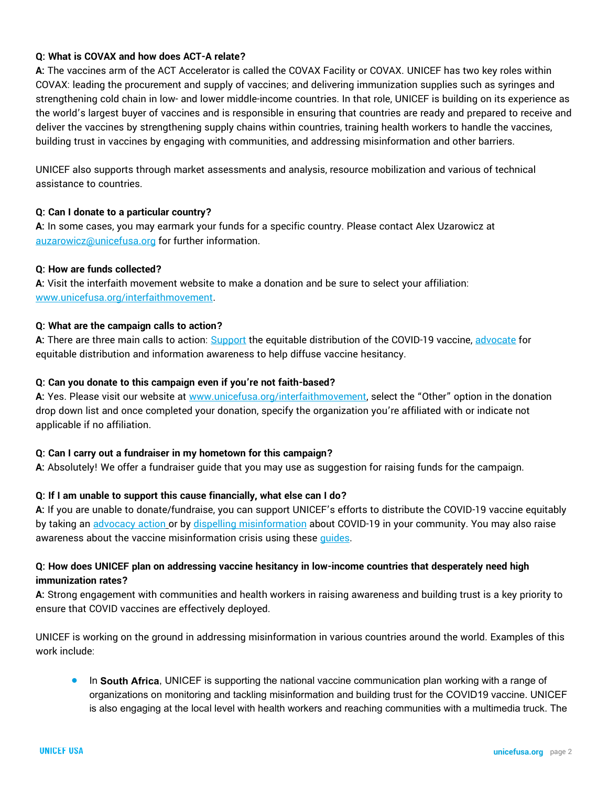# **Q: What is COVAX and how does ACT-A relate?**

**A:** The vaccines arm of the ACT Accelerator is called the COVAX Facility or COVAX. UNICEF has two key roles within COVAX: leading the procurement and supply of vaccines; and delivering immunization supplies such as syringes and strengthening cold chain in low- and lower middle-income countries. In that role, UNICEF is building on its experience as the world's largest buyer of vaccines and is responsible in ensuring that countries are ready and prepared to receive and deliver the vaccines by strengthening supply chains within countries, training health workers to handle the vaccines, building trust in vaccines by engaging with communities, and addressing misinformation and other barriers.

UNICEF also supports through market assessments and analysis, resource mobilization and various of technical assistance to countries.

#### **Q: Can I donate to a particular country?**

**A:** In some cases, you may earmark your funds for a specific country. Please contact Alex Uzarowicz at [auzarowicz@unicefusa.org](mailto:auzarowicz@unicefusa.org) for further information.

#### **Q: How are funds collected?**

**A:** Visit the interfaith movement website to make a donation and be sure to select your affiliation: [www.unicefusa.org/interfaithmovement.](http://www.unicefusa.org/interfaithmovement)

## **Q: What are the campaign calls to action?**

**A:** There are three main calls to action: [Support](https://www.unicefusa.org/interfaithmovement?form=FUNKYTCWUQZ) the equitable distribution of the COVID-19 vaccine[, advocate](https://act.unicefusa.org/URCGHvv) for equitable distribution and information awareness to help diffuse vaccine hesitancy.

## **Q: Can you donate to this campaign even if you're not faith-based?**

**A:** Yes. Please visit our website at [www.unicefusa.org/interfaithmovement](http://www.unicefusa.org/interfaithmovement), select the "Other" option in the donation drop down list and once completed your donation, specify the organization you're affiliated with or indicate not applicable if no affiliation.

#### **Q: Can I carry out a fundraiser in my hometown for this campaign?**

**A:** Absolutely! We offer a fundraiser guide that you may use as suggestion for raising funds for the campaign.

#### **Q: If I am unable to support this cause financially, what else can I do?**

**A:** If you are unable to donate/fundraise, you can support UNICEF's efforts to distribute the COVID-19 vaccine equitably by taking a[n advocacy action](https://act.unicefusa.org/URCGHvv) or by [dispelling misinformation](https://www.unicefusa.org/sites/default/files/GCP21_Interfaith_ETP_TwoPage.pdf) about COVID-19 in your community. You may also raise awareness about the vaccine misinformation crisis using these [guides.](https://vaccinemisinformation.guide/)

# **Q: How does UNICEF plan on addressing vaccine hesitancy in low-income countries that desperately need high immunization rates?**

**A:** Strong engagement with communities and health workers in raising awareness and building trust is a key priority to ensure that COVID vaccines are effectively deployed.

UNICEF is working on the ground in addressing misinformation in various countries around the world. Examples of this work include:

⚫ In **South Africa**, UNICEF is supporting the national vaccine communication plan working with a range of organizations on monitoring and tackling misinformation and building trust for the COVID19 vaccine. UNICEF is also engaging at the local level with health workers and reaching communities with a multimedia truck. The